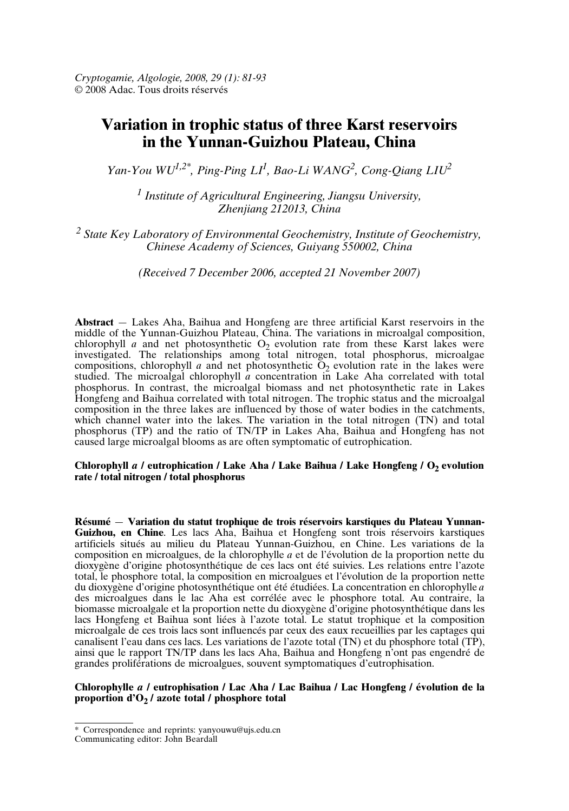# **Variation in trophic status of three Karst reservoirs in the Yunnan-Guizhou Plateau, China**

*Yan-You WU1,2\* , Ping-Ping LI<sup>1</sup> , Bao-Li WANG<sup>2</sup> , Cong-Qiang LIU<sup>2</sup>*

*1 Institute of Agricultural Engineering, Jiangsu University, Zhenjiang 212013, China*

*<sup>2</sup> State Key Laboratory of Environmental Geochemistry, Institute of Geochemistry, Chinese Academy of Sciences, Guiyang 550002, China*

*(Received 7 December 2006, accepted 21 November 2007)*

**Abstract** *—* Lakes Aha, Baihua and Hongfeng are three artificial Karst reservoirs in the middle of the Yunnan-Guizhou Plateau, China. The variations in microalgal composition, chlorophyll *a* and net photosynthetic  $O_2$  evolution rate from these Karst lakes were investigated. The relationships among total nitrogen, total phosphorus, microalgae compositions, chlorophyll *a* and net photosynthetic  $O_2$  evolution rate in the lakes were studied. The microalgal chlorophyll *a* concentration in Lake Aha correlated with total phosphorus. In contrast, the microalgal biomass and net photosynthetic rate in Lakes Hongfeng and Baihua correlated with total nitrogen. The trophic status and the microalgal composition in the three lakes are influenced by those of water bodies in the catchments, which channel water into the lakes. The variation in the total nitrogen (TN) and total phosphorus (TP) and the ratio of TN/TP in Lakes Aha, Baihua and Hongfeng has not caused large microalgal blooms as are often symptomatic of eutrophication.

#### **Chlorophyll** *a* **/ eutrophication / Lake Aha / Lake Baihua / Lake Hongfeng / O<sup>2</sup> evolution rate / total nitrogen / total phosphorus**

**Résumé** *—* **Variation du statut trophique de trois réservoirs karstiques du Plateau Yunnan-Guizhou, en Chine**. Les lacs Aha, Baihua et Hongfeng sont trois réservoirs karstiques artificiels situés au milieu du Plateau Yunnan-Guizhou, en Chine. Les variations de la composition en microalgues, de la chlorophylle *a* et de l'évolution de la proportion nette du dioxygène d'origine photosynthétique de ces lacs ont été suivies. Les relations entre l'azote total, le phosphore total, la composition en microalgues et l'évolution de la proportion nette du dioxygène d'origine photosynthétique ont été étudiées. La concentration en chlorophylle *a* des microalgues dans le lac Aha est corrélée avec le phosphore total. Au contraire, la biomasse microalgale et la proportion nette du dioxygène d'origine photosynthétique dans les lacs Hongfeng et Baihua sont liées à l'azote total. Le statut trophique et la composition microalgale de ces trois lacs sont influencés par ceux des eaux recueillies par les captages qui canalisent l'eau dans ces lacs. Les variations de l'azote total (TN) et du phosphore total (TP), ainsi que le rapport TN/TP dans les lacs Aha, Baihua and Hongfeng n'ont pas engendré de grandes proliférations de microalgues, souvent symptomatiques d'eutrophisation.

# **Chlorophylle** *a* **/ eutrophisation / Lac Aha / Lac Baihua / Lac Hongfeng / évolution de la proportion d'O<sup>2</sup> / azote total / phosphore total**

<sup>\*</sup> Correspondence and reprints: yanyouwu@ujs.edu.cn

Communicating editor: John Beardall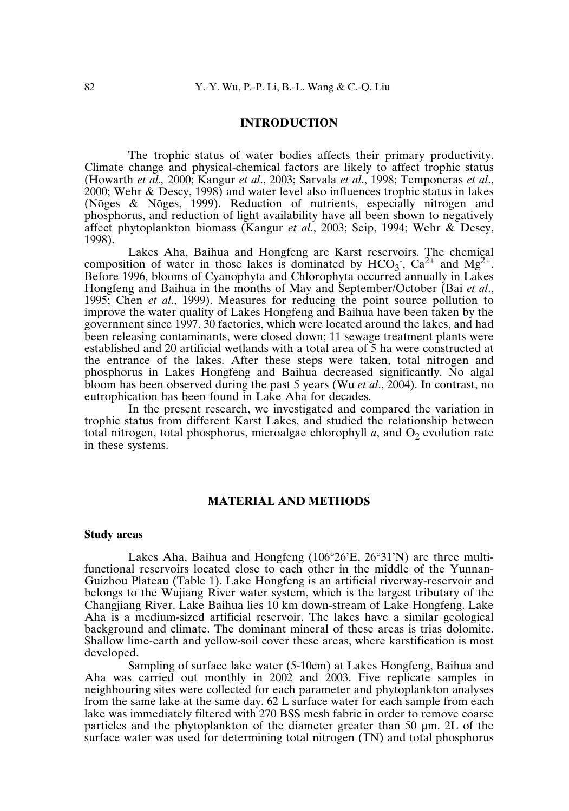## **INTRODUCTION**

The trophic status of water bodies affects their primary productivity. Climate change and physical-chemical factors are likely to affect trophic status (Howarth *et al.,* 2000; Kangur *et al*., 2003; Sarvala *et al*., 1998; Temponeras *et al*., 2000; Wehr & Descy, 1998) and water level also influences trophic status in lakes (Nõges & Nõges, 1999). Reduction of nutrients, especially nitrogen and phosphorus, and reduction of light availability have all been shown to negatively affect phytoplankton biomass (Kangur *et al*., 2003; Seip, 1994; Wehr & Descy, 1998).

Lakes Aha, Baihua and Hongfeng are Karst reservoirs. The chemical composition of water in those lakes is dominated by  $HCO_3$ ,  $Ca^{2+}$  and  $Mg^{2+}$ . Before 1996, blooms of Cyanophyta and Chlorophyta occurred annually in Lakes Hongfeng and Baihua in the months of May and September/October (Bai *et al*., 1995; Chen *et al*., 1999). Measures for reducing the point source pollution to improve the water quality of Lakes Hongfeng and Baihua have been taken by the government since 1997. 30 factories, which were located around the lakes, and had been releasing contaminants, were closed down; 11 sewage treatment plants were established and 20 artificial wetlands with a total area of 5 ha were constructed at the entrance of the lakes. After these steps were taken, total nitrogen and phosphorus in Lakes Hongfeng and Baihua decreased significantly. No algal bloom has been observed during the past 5 years (Wu *et al*., 2004). In contrast, no eutrophication has been found in Lake Aha for decades.

In the present research, we investigated and compared the variation in trophic status from different Karst Lakes, and studied the relationship between total nitrogen, total phosphorus, microalgae chlorophyll  $a$ , and  $O<sub>2</sub>$  evolution rate in these systems.

## **MATERIAL AND METHODS**

#### **Study areas**

Lakes Aha, Baihua and Hongfeng (106°26'E, 26°31'N) are three multifunctional reservoirs located close to each other in the middle of the Yunnan-Guizhou Plateau (Table 1). Lake Hongfeng is an artificial riverway-reservoir and belongs to the Wujiang River water system, which is the largest tributary of the Changjiang River. Lake Baihua lies 10 km down-stream of Lake Hongfeng. Lake Aha is a medium-sized artificial reservoir. The lakes have a similar geological background and climate. The dominant mineral of these areas is trias dolomite. Shallow lime-earth and yellow-soil cover these areas, where karstification is most developed.

Sampling of surface lake water (5-10cm) at Lakes Hongfeng, Baihua and Aha was carried out monthly in 2002 and 2003. Five replicate samples in neighbouring sites were collected for each parameter and phytoplankton analyses from the same lake at the same day. 62 L surface water for each sample from each lake was immediately filtered with 270 BSS mesh fabric in order to remove coarse particles and the phytoplankton of the diameter greater than 50 µm. 2L of the surface water was used for determining total nitrogen (TN) and total phosphorus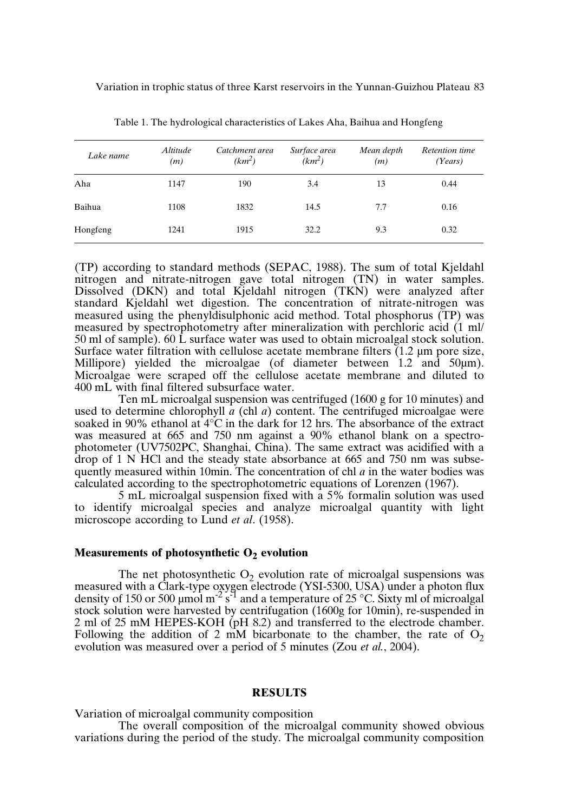| Lake name | <i>Altitude</i><br>(m) | Catchment area<br>$(km^2)$ | Surface area<br>$(km^2)$ | Mean depth<br>(m) | Retention time<br>(Years) |
|-----------|------------------------|----------------------------|--------------------------|-------------------|---------------------------|
| Aha       | 1147                   | 190                        | 3.4                      | 13                | 0.44                      |
| Baihua    | 1108                   | 1832                       | 14.5                     | 7.7               | 0.16                      |
| Hongfeng  | 1241                   | 1915                       | 32.2                     | 9.3               | 0.32                      |

Table 1. The hydrological characteristics of Lakes Aha, Baihua and Hongfeng

(TP) according to standard methods (SEPAC, 1988). The sum of total Kjeldahl nitrogen and nitrate-nitrogen gave total nitrogen (TN) in water samples. Dissolved (DKN) and total Kjeldahl nitrogen (TKN) were analyzed after standard Kjeldahl wet digestion. The concentration of nitrate-nitrogen was measured using the phenyldisulphonic acid method. Total phosphorus (TP) was measured by spectrophotometry after mineralization with perchloric acid (1 ml/ 50 ml of sample). 60 L surface water was used to obtain microalgal stock solution. Surface water filtration with cellulose acetate membrane filters (1.2 µm pore size, Millipore) yielded the microalgae (of diameter between 1.2 and 50  $\mu$ m). Microalgae were scraped off the cellulose acetate membrane and diluted to 400 mL with final filtered subsurface water.

Ten mL microalgal suspension was centrifuged (1600 g for 10 minutes) and used to determine chlorophyll  $\hat{a}$  (chl  $a$ ) content. The centrifuged microalgae were soaked in 90% ethanol at  $4^{\circ}$ C in the dark for 12 hrs. The absorbance of the extract was measured at 665 and 750 nm against a 90% ethanol blank on a spectrophotometer (UV7502PC, Shanghai, China). The same extract was acidified with a drop of 1 N HCl and the steady state absorbance at 665 and 750 nm was subsequently measured within 10min. The concentration of chl *a* in the water bodies was calculated according to the spectrophotometric equations of Lorenzen (1967).

5 mL microalgal suspension fixed with a 5% formalin solution was used to identify microalgal species and analyze microalgal quantity with light microscope according to Lund *et al*. (1958).

## **Measurements of photosynthetic O<sup>2</sup> evolution**

The net photosynthetic  $O_2$  evolution rate of microalgal suspensions was measured with a Clark-type oxygen electrode (YSI-5300, USA) under a photon flux density of 150 or 500 µmol m<sup>-2</sup> s<sup>-1</sup> and a temperature of 25 °C. Sixty ml of microalgal stock solution were harvested by centrifugation (1600g for 10min), re-suspended in 2 ml of 25 mM HEPES-KOH (pH 8.2) and transferred to the electrode chamber. Following the addition of 2 mM bicarbonate to the chamber, the rate of  $O<sub>2</sub>$ evolution was measured over a period of 5 minutes (Zou *et al.*, 2004).

## **RESULTS**

Variation of microalgal community composition

The overall composition of the microalgal community showed obvious variations during the period of the study. The microalgal community composition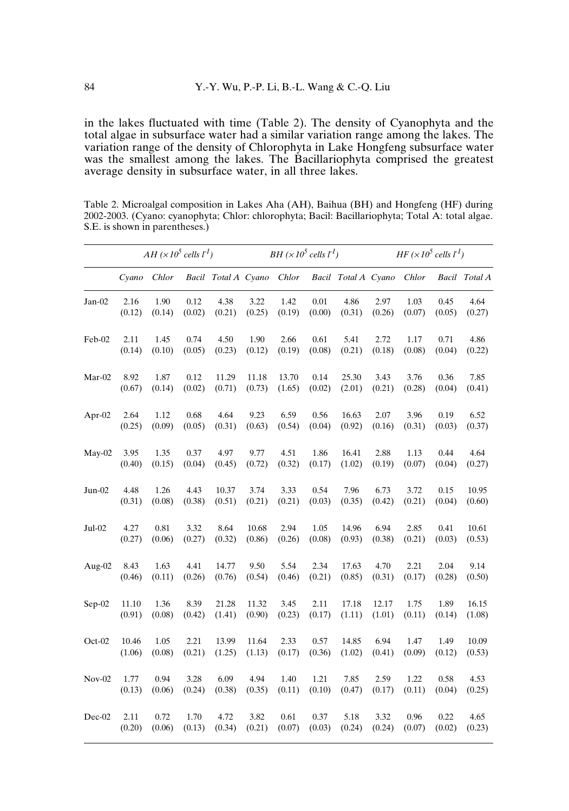in the lakes fluctuated with time (Table 2). The density of Cyanophyta and the total algae in subsurface water had a similar variation range among the lakes. The variation range of the density of Chlorophyta in Lake Hongfeng subsurface water was the smallest among the lakes. The Bacillariophyta comprised the greatest average density in subsurface water, in all three lakes.

|          |        | $AH (x10^5$ cells $l^{-1})$ |        |                     | BH $(\times 10^5$ cells $l^1$ ) |        |        |                     | $HF(x10^5$ cells $l^{-1}$ ) |        |        |               |
|----------|--------|-----------------------------|--------|---------------------|---------------------------------|--------|--------|---------------------|-----------------------------|--------|--------|---------------|
|          | Cyano  | Chlor                       |        | Bacil Total A Cyano |                                 | Chlor  |        | Bacil Total A Cyano |                             | Chlor  |        | Bacil Total A |
| Jan-02   | 2.16   | 1.90                        | 0.12   | 4.38                | 3.22                            | 1.42   | 0.01   | 4.86                | 2.97                        | 1.03   | 0.45   | 4.64          |
|          | (0.12) | (0.14)                      | (0.02) | (0.21)              | (0.25)                          | (0.19) | (0.00) | (0.31)              | (0.26)                      | (0.07) | (0.05) | (0.27)        |
| Feb-02   | 2.11   | 1.45                        | 0.74   | 4.50                | 1.90                            | 2.66   | 0.61   | 5.41                | 2.72                        | 1.17   | 0.71   | 4.86          |
|          | (0.14) | (0.10)                      | (0.05) | (0.23)              | (0.12)                          | (0.19) | (0.08) | (0.21)              | (0.18)                      | (0.08) | (0.04) | (0.22)        |
| Mar-02   | 8.92   | 1.87                        | 0.12   | 11.29               | 11.18                           | 13.70  | 0.14   | 25.30               | 3.43                        | 3.76   | 0.36   | 7.85          |
|          | (0.67) | (0.14)                      | (0.02) | (0.71)              | (0.73)                          | (1.65) | (0.02) | (2.01)              | (0.21)                      | (0.28) | (0.04) | (0.41)        |
| Apr-02   | 2.64   | 1.12                        | 0.68   | 4.64                | 9.23                            | 6.59   | 0.56   | 16.63               | 2.07                        | 3.96   | 0.19   | 6.52          |
|          | (0.25) | (0.09)                      | (0.05) | (0.31)              | (0.63)                          | (0.54) | (0.04) | (0.92)              | (0.16)                      | (0.31) | (0.03) | (0.37)        |
| $May-02$ | 3.95   | 1.35                        | 0.37   | 4.97                | 9.77                            | 4.51   | 1.86   | 16.41               | 2.88                        | 1.13   | 0.44   | 4.64          |
|          | (0.40) | (0.15)                      | (0.04) | (0.45)              | (0.72)                          | (0.32) | (0.17) | (1.02)              | (0.19)                      | (0.07) | (0.04) | (0.27)        |
| $Jun-02$ | 4.48   | 1.26                        | 4.43   | 10.37               | 3.74                            | 3.33   | 0.54   | 7.96                | 6.73                        | 3.72   | 0.15   | 10.95         |
|          | (0.31) | (0.08)                      | (0.38) | (0.51)              | (0.21)                          | (0.21) | (0.03) | (0.35)              | (0.42)                      | (0.21) | (0.04) | (0.60)        |
| $Jul-02$ | 4.27   | 0.81                        | 3.32   | 8.64                | 10.68                           | 2.94   | 1.05   | 14.96               | 6.94                        | 2.85   | 0.41   | 10.61         |
|          | (0.27) | (0.06)                      | (0.27) | (0.32)              | (0.86)                          | (0.26) | (0.08) | (0.93)              | (0.38)                      | (0.21) | (0.03) | (0.53)        |
| Aug-02   | 8.43   | 1.63                        | 4.41   | 14.77               | 9.50                            | 5.54   | 2.34   | 17.63               | 4.70                        | 2.21   | 2.04   | 9.14          |
|          | (0.46) | (0.11)                      | (0.26) | (0.76)              | (0.54)                          | (0.46) | (0.21) | (0.85)              | (0.31)                      | (0.17) | (0.28) | (0.50)        |
| $Sep-02$ | 11.10  | 1.36                        | 8.39   | 21.28               | 11.32                           | 3.45   | 2.11   | 17.18               | 12.17                       | 1.75   | 1.89   | 16.15         |
|          | (0.91) | (0.08)                      | (0.42) | (1.41)              | (0.90)                          | (0.23) | (0.17) | (1.11)              | (1.01)                      | (0.11) | (0.14) | (1.08)        |
| Oct-02   | 10.46  | 1.05                        | 2.21   | 13.99               | 11.64                           | 2.33   | 0.57   | 14.85               | 6.94                        | 1.47   | 1.49   | 10.09         |
|          | (1.06) | (0.08)                      | (0.21) | (1.25)              | (1.13)                          | (0.17) | (0.36) | (1.02)              | (0.41)                      | (0.09) | (0.12) | (0.53)        |
| $Nov-02$ | 1.77   | 0.94                        | 3.28   | 6.09                | 4.94                            | 1.40   | 1.21   | 7.85                | 2.59                        | 1.22   | 0.58   | 4.53          |
|          | (0.13) | (0.06)                      | (0.24) | (0.38)              | (0.35)                          | (0.11) | (0.10) | (0.47)              | (0.17)                      | (0.11) | (0.04) | (0.25)        |
| $Dec-02$ | 2.11   | 0.72                        | 1.70   | 4.72                | 3.82                            | 0.61   | 0.37   | 5.18                | 3.32                        | 0.96   | 0.22   | 4.65          |
|          | (0.20) | (0.06)                      | (0.13) | (0.34)              | (0.21)                          | (0.07) | (0.03) | (0.24)              | (0.24)                      | (0.07) | (0.02) | (0.23)        |

Table 2. Microalgal composition in Lakes Aha (AH), Baihua (BH) and Hongfeng (HF) during 2002-2003. (Cyano: cyanophyta; Chlor: chlorophyta; Bacil: Bacillariophyta; Total A: total algae. S.E. is shown in parentheses.)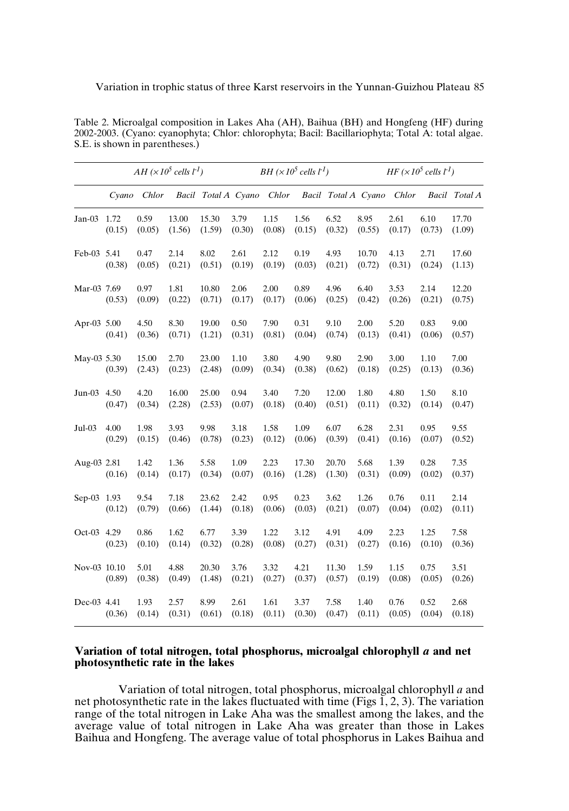|              | $AH (x10^5$ cells $l1$ ) |                 |                 |                     |                | BH $(x10^5$ cells $l^1$ ) |                 |                     |                 |                | $HF(x10^5$ cells $l^{-1}$ ) |                 |  |
|--------------|--------------------------|-----------------|-----------------|---------------------|----------------|---------------------------|-----------------|---------------------|-----------------|----------------|-----------------------------|-----------------|--|
|              | Cyano                    | Chlor           |                 | Bacil Total A Cyano |                | Chlor                     |                 | Bacil Total A Cyano |                 | Chlor          |                             | Bacil Total A   |  |
| Jan-03 1.72  | (0.15)                   | 0.59<br>(0.05)  | 13.00<br>(1.56) | 15.30<br>(1.59)     | 3.79<br>(0.30) | 1.15<br>(0.08)            | 1.56<br>(0.15)  | 6.52<br>(0.32)      | 8.95<br>(0.55)  | 2.61<br>(0.17) | 6.10<br>(0.73)              | 17.70<br>(1.09) |  |
| Feb-03 5.41  | (0.38)                   | 0.47<br>(0.05)  | 2.14<br>(0.21)  | 8.02<br>(0.51)      | 2.61<br>(0.19) | 2.12<br>(0.19)            | 0.19<br>(0.03)  | 4.93<br>(0.21)      | 10.70<br>(0.72) | 4.13<br>(0.31) | 2.71<br>(0.24)              | 17.60<br>(1.13) |  |
| Mar-03 7.69  | (0.53)                   | 0.97<br>(0.09)  | 1.81<br>(0.22)  | 10.80<br>(0.71)     | 2.06<br>(0.17) | 2.00<br>(0.17)            | 0.89<br>(0.06)  | 4.96<br>(0.25)      | 6.40<br>(0.42)  | 3.53<br>(0.26) | 2.14<br>(0.21)              | 12.20<br>(0.75) |  |
| Apr-03 5.00  | (0.41)                   | 4.50<br>(0.36)  | 8.30<br>(0.71)  | 19.00<br>(1.21)     | 0.50<br>(0.31) | 7.90<br>(0.81)            | 0.31<br>(0.04)  | 9.10<br>(0.74)      | 2.00<br>(0.13)  | 5.20<br>(0.41) | 0.83<br>(0.06)              | 9.00<br>(0.57)  |  |
| May-03 5.30  | (0.39)                   | 15.00<br>(2.43) | 2.70<br>(0.23)  | 23.00<br>(2.48)     | 1.10<br>(0.09) | 3.80<br>(0.34)            | 4.90<br>(0.38)  | 9.80<br>(0.62)      | 2.90<br>(0.18)  | 3.00<br>(0.25) | 1.10<br>(0.13)              | 7.00<br>(0.36)  |  |
| $Jun-03$     | 4.50<br>(0.47)           | 4.20<br>(0.34)  | 16.00<br>(2.28) | 25.00<br>(2.53)     | 0.94<br>(0.07) | 3.40<br>(0.18)            | 7.20<br>(0.40)  | 12.00<br>(0.51)     | 1.80<br>(0.11)  | 4.80<br>(0.32) | 1.50<br>(0.14)              | 8.10<br>(0.47)  |  |
| Jul-03       | 4.00<br>(0.29)           | 1.98<br>(0.15)  | 3.93<br>(0.46)  | 9.98<br>(0.78)      | 3.18<br>(0.23) | 1.58<br>(0.12)            | 1.09<br>(0.06)  | 6.07<br>(0.39)      | 6.28<br>(0.41)  | 2.31<br>(0.16) | 0.95<br>(0.07)              | 9.55<br>(0.52)  |  |
| Aug-03 2.81  | (0.16)                   | 1.42<br>(0.14)  | 1.36<br>(0.17)  | 5.58<br>(0.34)      | 1.09<br>(0.07) | 2.23<br>(0.16)            | 17.30<br>(1.28) | 20.70<br>(1.30)     | 5.68<br>(0.31)  | 1.39<br>(0.09) | 0.28<br>(0.02)              | 7.35<br>(0.37)  |  |
| Sep-03 1.93  | (0.12)                   | 9.54<br>(0.79)  | 7.18<br>(0.66)  | 23.62<br>(1.44)     | 2.42<br>(0.18) | 0.95<br>(0.06)            | 0.23<br>(0.03)  | 3.62<br>(0.21)      | 1.26<br>(0.07)  | 0.76<br>(0.04) | 0.11<br>(0.02)              | 2.14<br>(0.11)  |  |
| Oct-03 4.29  | (0.23)                   | 0.86<br>(0.10)  | 1.62<br>(0.14)  | 6.77<br>(0.32)      | 3.39<br>(0.28) | 1.22<br>(0.08)            | 3.12<br>(0.27)  | 4.91<br>(0.31)      | 4.09<br>(0.27)  | 2.23<br>(0.16) | 1.25<br>(0.10)              | 7.58<br>(0.36)  |  |
| Nov-03 10.10 | (0.89)                   | 5.01<br>(0.38)  | 4.88<br>(0.49)  | 20.30<br>(1.48)     | 3.76<br>(0.21) | 3.32<br>(0.27)            | 4.21<br>(0.37)  | 11.30<br>(0.57)     | 1.59<br>(0.19)  | 1.15<br>(0.08) | 0.75<br>(0.05)              | 3.51<br>(0.26)  |  |
| Dec-03 4.41  | (0.36)                   | 1.93<br>(0.14)  | 2.57<br>(0.31)  | 8.99<br>(0.61)      | 2.61<br>(0.18) | 1.61<br>(0.11)            | 3.37<br>(0.30)  | 7.58<br>(0.47)      | 1.40<br>(0.11)  | 0.76<br>(0.05) | 0.52<br>(0.04)              | 2.68<br>(0.18)  |  |

Table 2. Microalgal composition in Lakes Aha (AH), Baihua (BH) and Hongfeng (HF) during 2002-2003. (Cyano: cyanophyta; Chlor: chlorophyta; Bacil: Bacillariophyta; Total A: total algae. S.E. is shown in parentheses.)

## **Variation of total nitrogen, total phosphorus, microalgal chlorophyll** *a* **and net photosynthetic rate in the lakes**

Variation of total nitrogen, total phosphorus, microalgal chlorophyll *a* and net photosynthetic rate in the lakes fluctuated with time (Figs  $1, 2, 3$ ). The variation range of the total nitrogen in Lake Aha was the smallest among the lakes, and the average value of total nitrogen in Lake Aha was greater than those in Lakes Baihua and Hongfeng. The average value of total phosphorus in Lakes Baihua and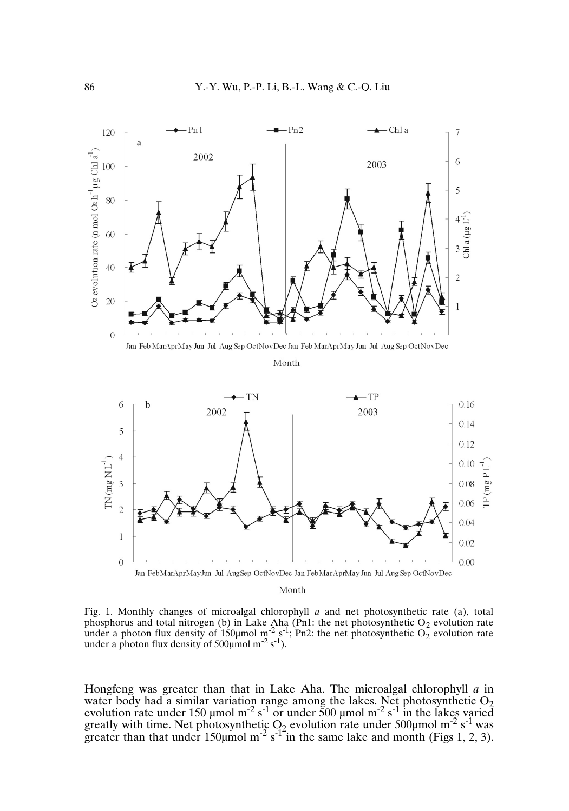

Month

Fig. 1. Monthly changes of microalgal chlorophyll *a* and net photosynthetic rate (a), total phosphorus and total nitrogen (b) in Lake Aha (Pn1: the net photosynthetic O<sub>2</sub> evolution rate<br>under a photon flux density of 150µmol m<sup>-2</sup> s<sup>-1</sup>; Pn2: the net photosynthetic O<sub>2</sub> evolution rate under a photon flux density of  $500 \mu$ mol m<sup>-2</sup> s<sup>-1</sup>).

Hongfeng was greater than that in Lake Aha. The microalgal chlorophyll *a* in water body had a similar variation range among the lakes. Net photosynthetic  $O_2$ evolution rate under 150 µmol m<sup>-2</sup> s<sup>-1</sup> or under 500 µmol m<sup>-2</sup> s<sup>-1</sup> in the lakes varied greatly with time. Net photosynthetic  $Q_2$  evolution rate under 500 µmol m<sup>-2</sup> s<sup>-1</sup> was greater than that under 150  $\mu$ mol m<sup>-2</sup> s<sup>-12</sup> in the same lake and month (Figs 1, 2, 3).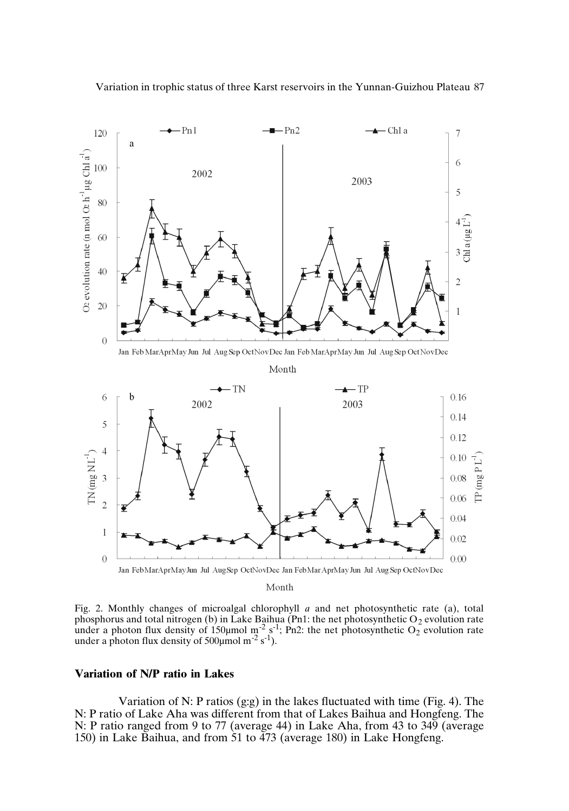



Fig. 2. Monthly changes of microalgal chlorophyll *a* and net photosynthetic rate (a), total phosphorus and total nitrogen (b) in Lake Baihua (Pn1: the net photosynthetic O<sub>2</sub> evolution rate<br>under a photon flux density of 150µmol m<sup>-2</sup> s<sup>-1</sup>; Pn2: the net photosynthetic O<sub>2</sub> evolution rate<br>under a photon flux den

## **Variation of N/P ratio in Lakes**

Variation of N: P ratios (g:g) in the lakes fluctuated with time (Fig. 4). The N: P ratio of Lake Aha was different from that of Lakes Baihua and Hongfeng. The N: P ratio ranged from 9 to 77 (average 44) in Lake Aha, from 43 to 349 (average 150) in Lake Baihua, and from 51 to 473 (average 180) in Lake Hongfeng.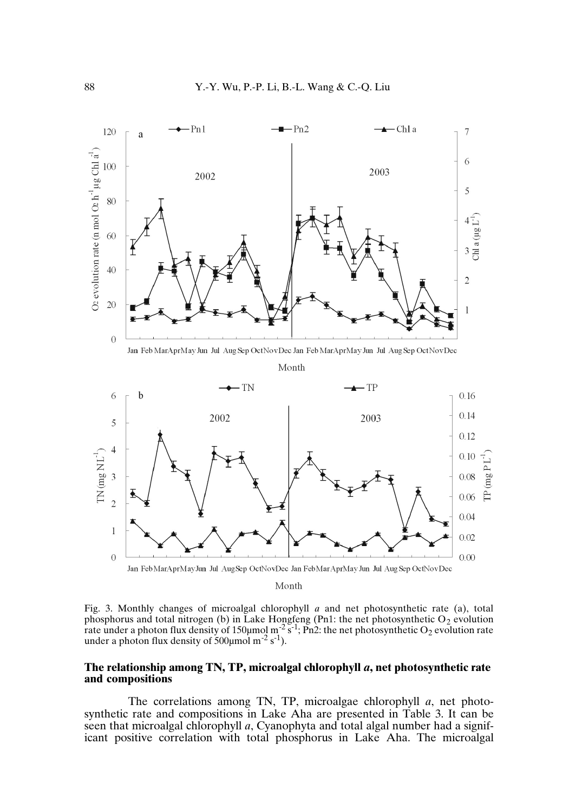

Fig. 3. Monthly changes of microalgal chlorophyll *a* and net photosynthetic rate (a), total phosphorus and total nitrogen (b) in Lake Hongfeng (Pn1: the net photosynthetic O<sub>2</sub> evolution rate under a photon flux density of 150  $\mu$ mol m<sup>-2</sup> s<sup>-1</sup>; Pn2: the net photosynthetic O<sub>2</sub> evolution rate under a photon flux density of  $500 \mu$ mol m<sup>-2</sup> s<sup>-1</sup>).

#### **The relationship among TN, TP, microalgal chlorophyll** *a***, net photosynthetic rate and compositions**

The correlations among TN, TP, microalgae chlorophyll *a*, net photosynthetic rate and compositions in Lake Aha are presented in Table 3. It can be seen that microalgal chlorophyll *a*, Cyanophyta and total algal number had a significant positive correlation with total phosphorus in Lake Aha. The microalgal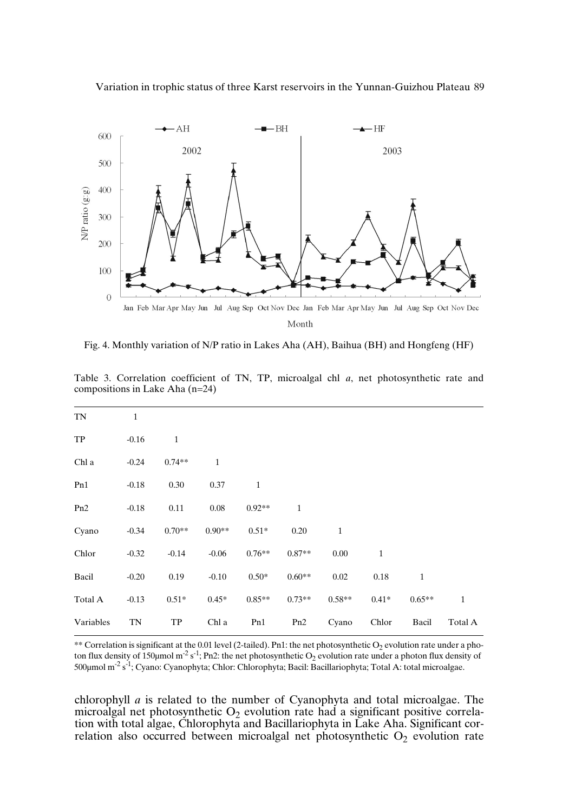Variation in trophic status of three Karst reservoirs in the Yunnan-Guizhou Plateau 89



Fig. 4. Monthly variation of N/P ratio in Lakes Aha (AH), Baihua (BH) and Hongfeng (HF)

| TN        | $\mathbf{1}$ |              |              |              |              |              |              |              |              |
|-----------|--------------|--------------|--------------|--------------|--------------|--------------|--------------|--------------|--------------|
| TP        | $-0.16$      | $\mathbf{1}$ |              |              |              |              |              |              |              |
| Chl a     | $-0.24$      | $0.74**$     | $\mathbf{1}$ |              |              |              |              |              |              |
| Pn1       | $-0.18$      | 0.30         | 0.37         | $\mathbf{1}$ |              |              |              |              |              |
| Pn2       | $-0.18$      | 0.11         | 0.08         | $0.92**$     | $\mathbf{1}$ |              |              |              |              |
| Cyano     | $-0.34$      | $0.70**$     | $0.90**$     | $0.51*$      | 0.20         | $\mathbf{1}$ |              |              |              |
| Chlor     | $-0.32$      | $-0.14$      | $-0.06$      | $0.76**$     | $0.87**$     | 0.00         | $\mathbf{1}$ |              |              |
| Bacil     | $-0.20$      | 0.19         | $-0.10$      | $0.50*$      | $0.60**$     | 0.02         | 0.18         | $\mathbf{1}$ |              |
| Total A   | $-0.13$      | $0.51*$      | $0.45*$      | $0.85**$     | $0.73**$     | $0.58**$     | $0.41*$      | $0.65**$     | $\mathbf{1}$ |
| Variables | TN           | TP           | Chl a        | Pn1          | Pn2          | Cyano        | Chlor        | Bacil        | Total A      |

Table 3. Correlation coefficient of TN, TP, microalgal chl *a*, net photosynthetic rate and compositions in Lake Aha (n=24)

\*\* Correlation is significant at the 0.01 level (2-tailed). Pn1: the net photosynthetic  $O_2$  evolution rate under a photon flux density of 150µmol m<sup>-2</sup> s<sup>-1</sup>; Pn2: the net photosynthetic O<sub>2</sub> evolution rate under a photon flux density of 500µmol m<sup>-2</sup> s<sup>-1</sup>; Cyano: Cyanophyta; Chlor: Chlorophyta; Bacil: Bacillariophyta; Total A: total microalgae.

chlorophyll *a* is related to the number of Cyanophyta and total microalgae. The microalgal net photosynthetic  $O_2$  evolution rate had a significant positive correlation with total algae, Chlorophyta and Bacillariophyta in Lake Aha. Significant correlation also occurred between microalgal net photosynthetic  $O_2$  evolution rate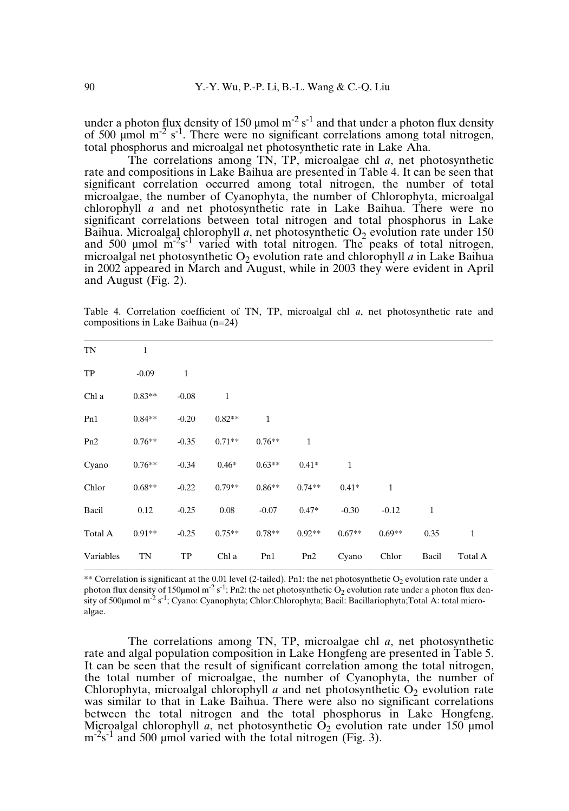under a photon flux density of 150 µmol m<sup>-2</sup> s<sup>-1</sup> and that under a photon flux density of 500  $\mu$ mol m<sup>-2</sup> s<sup>-1</sup>. There were no significant correlations among total nitrogen, total phosphorus and microalgal net photosynthetic rate in Lake Aha.

The correlations among TN, TP, microalgae chl *a*, net photosynthetic rate and compositions in Lake Baihua are presented in Table 4. It can be seen that significant correlation occurred among total nitrogen, the number of total microalgae, the number of Cyanophyta, the number of Chlorophyta, microalgal chlorophyll *a* and net photosynthetic rate in Lake Baihua. There were no significant correlations between total nitrogen and total phosphorus in Lake Baihua. Microalgal chlorophyll *a*, net photosynthetic  $O_2$  evolution rate under 150 and 500  $\mu$ mol m<sup>-2</sup>s<sup>-1</sup> varied with total nitrogen. The peaks of total nitrogen, microalgal net photosynthetic  $O_2$  evolution rate and chlorophyll *a* in Lake Baihua in 2002 appeared in March and August, while in 2003 they were evident in April and August (Fig. 2).

Table 4. Correlation coefficient of TN, TP, microalgal chl *a*, net photosynthetic rate and compositions in Lake Baihua (n=24)

| TN              | $\mathbf{1}$ |              |              |          |              |              |              |              |              |
|-----------------|--------------|--------------|--------------|----------|--------------|--------------|--------------|--------------|--------------|
| TP              | $-0.09$      | $\mathbf{1}$ |              |          |              |              |              |              |              |
| Chl a           | $0.83**$     | $-0.08$      | $\mathbf{1}$ |          |              |              |              |              |              |
| Pn1             | $0.84**$     | $-0.20$      | $0.82**$     | 1        |              |              |              |              |              |
| P <sub>n2</sub> | $0.76**$     | $-0.35$      | $0.71**$     | $0.76**$ | $\mathbf{1}$ |              |              |              |              |
| Cyano           | $0.76**$     | $-0.34$      | $0.46*$      | $0.63**$ | $0.41*$      | $\mathbf{1}$ |              |              |              |
| Chlor           | $0.68**$     | $-0.22$      | $0.79**$     | $0.86**$ | $0.74**$     | $0.41*$      | $\mathbf{1}$ |              |              |
| Bacil           | 0.12         | $-0.25$      | 0.08         | $-0.07$  | $0.47*$      | $-0.30$      | $-0.12$      | $\mathbf{1}$ |              |
| Total A         | $0.91**$     | $-0.25$      | $0.75**$     | $0.78**$ | $0.92**$     | $0.67**$     | $0.69**$     | 0.35         | $\mathbf{1}$ |
| Variables       | TN           | TP           | Chl a        | Pn1      | Pn2          | Cyano        | Chlor        | Bacil        | Total A      |
|                 |              |              |              |          |              |              |              |              |              |

\*\* Correlation is significant at the 0.01 level (2-tailed). Pn1: the net photosynthetic  $O_2$  evolution rate under a photon flux density of 150µmol m<sup>-2</sup> s<sup>-1</sup>; Pn2: the net photosynthetic O<sub>2</sub> evolution rate under a photon flux density of 500μmol m<sup>-2</sup> s<sup>-1</sup>; Cyano: Cyanophyta; Chlor:Chlorophyta; Bacil: Bacillariophyta;Total A: total microalgae.

The correlations among TN, TP, microalgae chl *a*, net photosynthetic rate and algal population composition in Lake Hongfeng are presented in Table 5. It can be seen that the result of significant correlation among the total nitrogen, the total number of microalgae, the number of Cyanophyta, the number of Chlorophyta, microalgal chlorophyll  $a$  and net photosynthetic  $O_2$  evolution rate was similar to that in Lake Baihua. There were also no significant correlations between the total nitrogen and the total phosphorus in Lake Hongfeng. Microalgal chlorophyll *a*, net photosynthetic  $\dot{O}_2$  evolution rate under 150 µmol  $\text{m}$ <sup>-2</sup>s<sup>-1</sup> and 500 µmol varied with the total nitrogen (Fig. 3).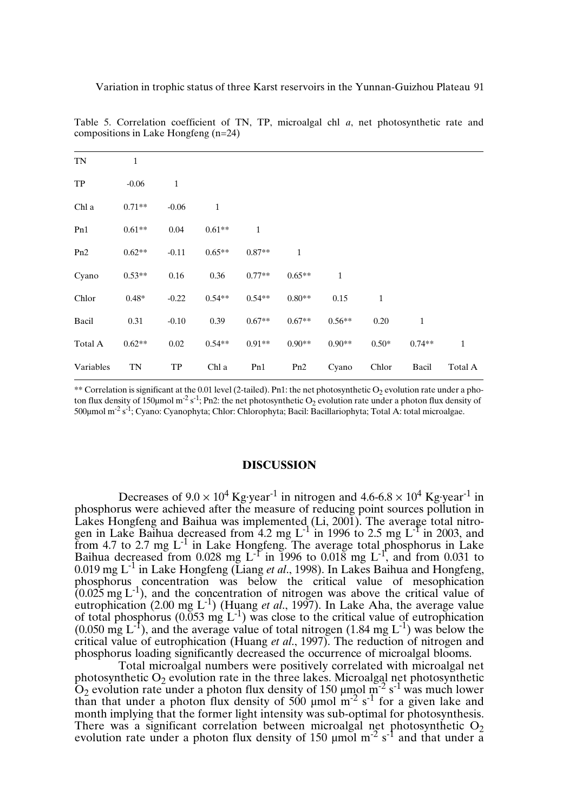| TN        | $\mathbf{1}$ |              |              |              |              |              |              |              |              |
|-----------|--------------|--------------|--------------|--------------|--------------|--------------|--------------|--------------|--------------|
| TP        | $-0.06$      | $\mathbf{1}$ |              |              |              |              |              |              |              |
| Chl a     | $0.71**$     | $-0.06$      | $\mathbf{1}$ |              |              |              |              |              |              |
| Pn1       | $0.61**$     | 0.04         | $0.61**$     | $\mathbf{1}$ |              |              |              |              |              |
| Pn2       | $0.62**$     | $-0.11$      | $0.65**$     | $0.87**$     | $\mathbf{1}$ |              |              |              |              |
| Cyano     | $0.53**$     | 0.16         | 0.36         | $0.77**$     | $0.65**$     | $\mathbf{1}$ |              |              |              |
| Chlor     | $0.48*$      | $-0.22$      | $0.54**$     | $0.54**$     | $0.80**$     | 0.15         | $\mathbf{1}$ |              |              |
| Bacil     | 0.31         | $-0.10$      | 0.39         | $0.67**$     | $0.67**$     | $0.56**$     | 0.20         | $\mathbf{1}$ |              |
| Total A   | $0.62**$     | 0.02         | $0.54**$     | $0.91**$     | $0.90**$     | $0.90**$     | $0.50*$      | $0.74**$     | $\mathbf{1}$ |
| Variables | TN           | TP           | Chl a        | Pn1          | Pn2          | Cyano        | Chlor        | Bacil        | Total A      |

Table 5. Correlation coefficient of TN, TP, microalgal chl *a*, net photosynthetic rate and compositions in Lake Hongfeng (n=24)

\*\* Correlation is significant at the 0.01 level (2-tailed). Pn1: the net photosynthetic  $O_2$  evolution rate under a photon flux density of 150µmol m<sup>-2</sup> s<sup>-1</sup>; Pn2: the net photosynthetic O<sub>2</sub> evolution rate under a photon flux density of 500µmol m<sup>-2</sup> s<sup>-1</sup>; Cyano: Cyanophyta; Chlor: Chlorophyta; Bacil: Bacillariophyta; Total A: total microalgae.

#### **DISCUSSION**

Decreases of  $9.0 \times 10^4$  Kg·year<sup>-1</sup> in nitrogen and  $4.6$ -6.8  $\times$  10<sup>4</sup> Kg·year<sup>-1</sup> in phosphorus were achieved after the measure of reducing point sources pollution in Lakes Hongfeng and Baihua was implemented (Li, 2001). The average total nitrogen in Lake Baihua decreased from 4.2 mg L<sup>-1</sup> in 1996 to 2.5 mg L<sup>-1</sup> in 2003, and from 4.7 to 2.7 mg  $L^{-1}$  in Lake Hongfeng. The average total phosphorus in Lake Baihua decreased from 0.028 mg L<sup>-1'</sup> in 1996 to 0.018 mg L<sup>-1'</sup>, and from 0.031 to 0.019 mg L -1 in Lake Hongfeng (Liang *et al*., 1998). In Lakes Baihua and Hongfeng, phosphorus concentration was below the critical value of mesophication  $(0.025 \text{ mg L}^{-1})$ , and the concentration of nitrogen was above the critical value of eutrophication (2.00 mg L<sup>-1</sup>) (Huang *et al.*, 1997). In Lake Aha, the average value of total phosphorus (0.053 mg  $L^{-1}$ ) was close to the critical value of eutrophication  $(0.050 \text{ mg L}^{-1})$ , and the average value of total nitrogen  $(1.84 \text{ mg L}^{-1})$  was below the critical value of eutrophication (Huang *et al*., 1997). The reduction of nitrogen and phosphorus loading significantly decreased the occurrence of microalgal blooms.

Total microalgal numbers were positively correlated with microalgal net photosynthetic  $O_2$  evolution rate in the three lakes. Microalgal net photosynthetic  $O_2$  evolution rate under a photon flux density of 150  $\mu$ mol m<sup>-2</sup> s<sup>-1</sup> was much lower than that under a photon flux density of  $500 \mu$  mol  $m^{-2}$  s<sup>-1</sup> for a given lake and month implying that the former light intensity was sub-optimal for photosynthesis. There was a significant correlation between microalgal net photosynthetic  $O_2$ evolution rate under a photon flux density of 150  $\mu$ mol m<sup>-2</sup> s<sup>-1</sup> and that under a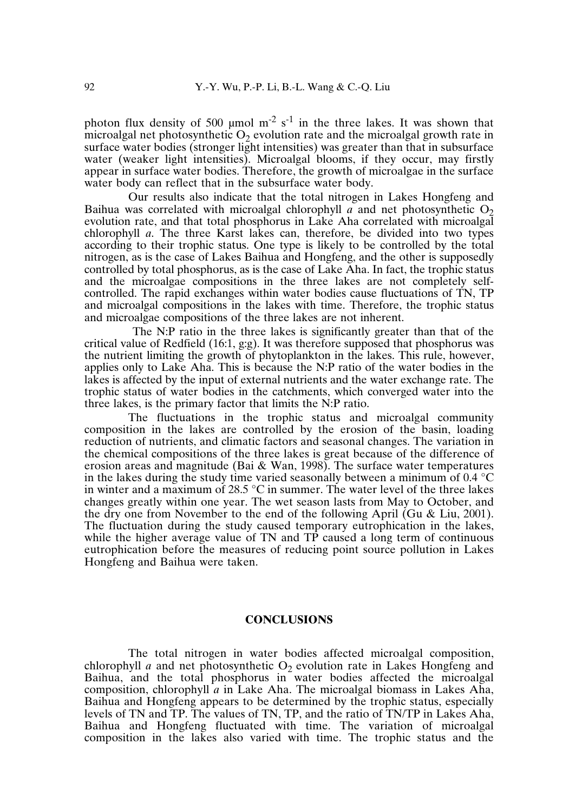photon flux density of 500 µmol  $m<sup>-2</sup>$  s<sup>-1</sup> in the three lakes. It was shown that microalgal net photosynthetic  $O<sub>2</sub>$  evolution rate and the microalgal growth rate in surface water bodies (stronger light intensities) was greater than that in subsurface water (weaker light intensities). Microalgal blooms, if they occur, may firstly appear in surface water bodies. Therefore, the growth of microalgae in the surface water body can reflect that in the subsurface water body.

Our results also indicate that the total nitrogen in Lakes Hongfeng and Baihua was correlated with microalgal chlorophyll  $\alpha$  and net photosynthetic O<sub>2</sub> evolution rate, and that total phosphorus in Lake Aha correlated with microalgal chlorophyll *a*. The three Karst lakes can, therefore, be divided into two types according to their trophic status. One type is likely to be controlled by the total nitrogen, as is the case of Lakes Baihua and Hongfeng, and the other is supposedly controlled by total phosphorus, as is the case of Lake Aha. In fact, the trophic status and the microalgae compositions in the three lakes are not completely selfcontrolled. The rapid exchanges within water bodies cause fluctuations of TN, TP and microalgal compositions in the lakes with time. Therefore, the trophic status and microalgae compositions of the three lakes are not inherent.

The N:P ratio in the three lakes is significantly greater than that of the critical value of Redfield (16:1, g:g). It was therefore supposed that phosphorus was the nutrient limiting the growth of phytoplankton in the lakes. This rule, however, applies only to Lake Aha. This is because the N:P ratio of the water bodies in the lakes is affected by the input of external nutrients and the water exchange rate. The trophic status of water bodies in the catchments, which converged water into the three lakes, is the primary factor that limits the N:P ratio.

The fluctuations in the trophic status and microalgal community composition in the lakes are controlled by the erosion of the basin, loading reduction of nutrients, and climatic factors and seasonal changes. The variation in the chemical compositions of the three lakes is great because of the difference of erosion areas and magnitude (Bai & Wan, 1998). The surface water temperatures in the lakes during the study time varied seasonally between a minimum of 0.4 °C in winter and a maximum of 28.5 °C in summer. The water level of the three lakes changes greatly within one year. The wet season lasts from May to October, and the dry one from November to the end of the following April (Gu & Liu, 2001). The fluctuation during the study caused temporary eutrophication in the lakes, while the higher average value of TN and TP caused a long term of continuous eutrophication before the measures of reducing point source pollution in Lakes Hongfeng and Baihua were taken.

## **CONCLUSIONS**

The total nitrogen in water bodies affected microalgal composition, chlorophyll *a* and net photosynthetic  $O<sub>2</sub>$  evolution rate in Lakes Hongfeng and Baihua, and the total phosphorus in water bodies affected the microalgal composition, chlorophyll *a* in Lake Aha. The microalgal biomass in Lakes Aha, Baihua and Hongfeng appears to be determined by the trophic status, especially levels of TN and TP. The values of TN, TP, and the ratio of TN/TP in Lakes Aha, Baihua and Hongfeng fluctuated with time. The variation of microalgal composition in the lakes also varied with time. The trophic status and the